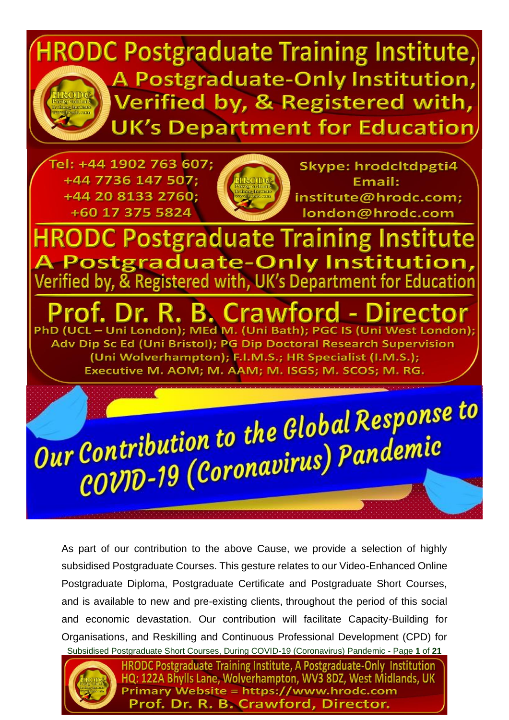

Subsidised Postgraduate Short Courses, During COVID-19 (Coronavirus) Pandemic - Page **1** of **21** As part of our contribution to the above Cause, we provide a selection of highly subsidised Postgraduate Courses. This gesture relates to our Video-Enhanced Online Postgraduate Diploma, Postgraduate Certificate and Postgraduate Short Courses, and is available to new and pre-existing clients, throughout the period of this social and economic devastation. Our contribution will facilitate Capacity-Building for Organisations, and Reskilling and Continuous Professional Development (CPD) for



**HRODC Postgraduate Training Institute, A Postgraduate-Only Institution** HQ: 122A Bhylls Lane, Wolverhampton, WV3 8DZ, West Midlands, UK **Primary Website = https://www.hrodc.com** Prof. Dr. R. B. Crawford, Director.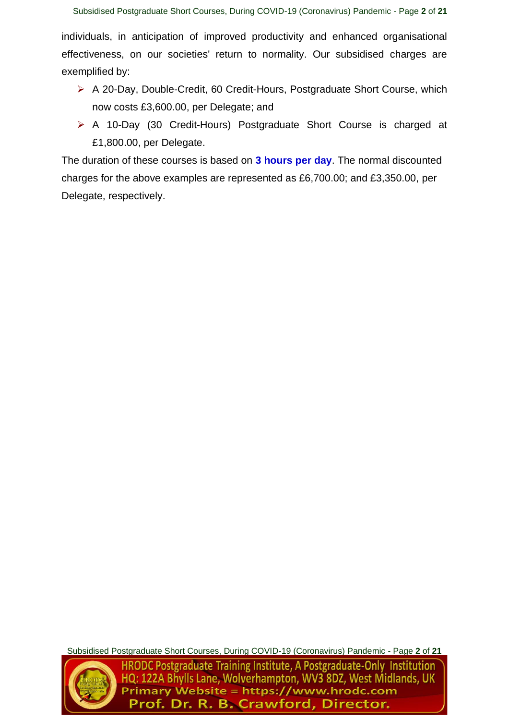individuals, in anticipation of improved productivity and enhanced organisational effectiveness, on our societies' return to normality. Our subsidised charges are exemplified by:

- ➢ A 20-Day, Double-Credit, 60 Credit-Hours, Postgraduate Short Course, which now costs £3,600.00, per Delegate; and
- ➢ A 10-Day (30 Credit-Hours) Postgraduate Short Course is charged at £1,800.00, per Delegate.

The duration of these courses is based on **3 hours per day**. The normal discounted charges for the above examples are represented as £6,700.00; and £3,350.00, per Delegate, respectively.

Subsidised Postgraduate Short Courses, During COVID-19 (Coronavirus) Pandemic - Page **2** of **21**



**HRODC Postgraduate Training Institute, A Postgraduate-Only Institution** HQ: 122A Bhylls Lane, Wolverhampton, WV3 8DZ, West Midlands, UK nary Website = https://www.hrodc.com Prof. Dr. R. B. Crawford, Director.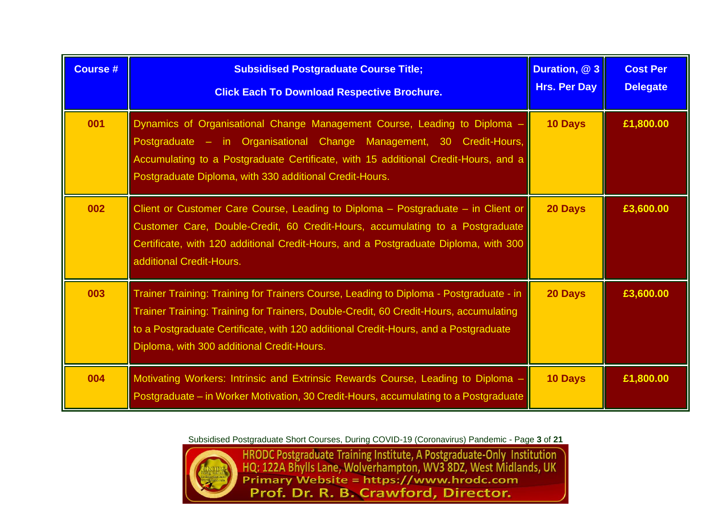| <b>Course #</b> | <b>Subsidised Postgraduate Course Title;</b><br><b>Click Each To Download Respective Brochure.</b>                                                                                                                                                                                                                   | Duration, @ 3<br><b>Hrs. Per Day</b> | <b>Cost Per</b><br><b>Delegate</b> |
|-----------------|----------------------------------------------------------------------------------------------------------------------------------------------------------------------------------------------------------------------------------------------------------------------------------------------------------------------|--------------------------------------|------------------------------------|
| 001             | Dynamics of Organisational Change Management Course, Leading to Diploma -<br>Postgraduate - in Organisational Change Management, 30 Credit-Hours,<br>Accumulating to a Postgraduate Certificate, with 15 additional Credit-Hours, and a<br>Postgraduate Diploma, with 330 additional Credit-Hours.                   | 10 Days                              | £1,800.00                          |
| 002             | Client or Customer Care Course, Leading to Diploma - Postgraduate - in Client or<br>Customer Care, Double-Credit, 60 Credit-Hours, accumulating to a Postgraduate<br>Certificate, with 120 additional Credit-Hours, and a Postgraduate Diploma, with 300<br>additional Credit-Hours.                                 | 20 Days                              | £3,600.00                          |
| 003             | Trainer Training: Training for Trainers Course, Leading to Diploma - Postgraduate - in<br>Trainer Training: Training for Trainers, Double-Credit, 60 Credit-Hours, accumulating<br>to a Postgraduate Certificate, with 120 additional Credit-Hours, and a Postgraduate<br>Diploma, with 300 additional Credit-Hours. | 20 Days                              | £3,600.00                          |
| 004             | Motivating Workers: Intrinsic and Extrinsic Rewards Course, Leading to Diploma -<br>Postgraduate – in Worker Motivation, 30 Credit-Hours, accumulating to a Postgraduate                                                                                                                                             | <b>10 Days</b>                       | £1,800.00                          |



Subsidised Postgraduate Short Courses, During COVID-19 (Coronavirus) Pandemic - Page 3 of 21<br>
HRODC Postgraduate Training Institute, A Postgraduate-Only Institution<br>
HQ: 122A Bhylls Lane, Wolverhampton, WV3 8DZ, West Midla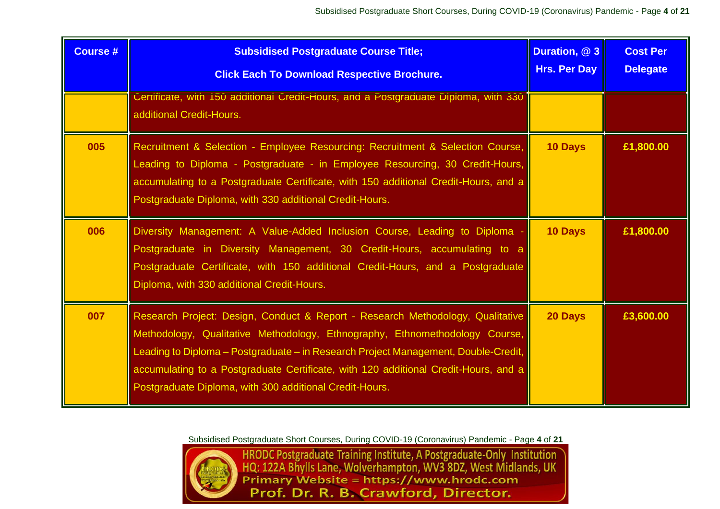| <b>Course #</b> | <b>Subsidised Postgraduate Course Title;</b><br><b>Click Each To Download Respective Brochure.</b>                                                                                                                                                                                                                                                                                                    | Duration, @ 3<br><b>Hrs. Per Day</b> | <b>Cost Per</b><br><b>Delegate</b> |
|-----------------|-------------------------------------------------------------------------------------------------------------------------------------------------------------------------------------------------------------------------------------------------------------------------------------------------------------------------------------------------------------------------------------------------------|--------------------------------------|------------------------------------|
|                 | Certificate, with 150 additional Credit-Hours, and a Postgraduate Diploma, with 330<br>additional Credit-Hours.                                                                                                                                                                                                                                                                                       |                                      |                                    |
| 005             | Recruitment & Selection - Employee Resourcing: Recruitment & Selection Course,<br>Leading to Diploma - Postgraduate - in Employee Resourcing, 30 Credit-Hours,<br>accumulating to a Postgraduate Certificate, with 150 additional Credit-Hours, and a<br>Postgraduate Diploma, with 330 additional Credit-Hours.                                                                                      | <b>10 Days</b>                       | £1,800.00                          |
| 006             | Diversity Management: A Value-Added Inclusion Course, Leading to Diploma<br>Postgraduate in Diversity Management, 30 Credit-Hours, accumulating to a<br>Postgraduate Certificate, with 150 additional Credit-Hours, and a Postgraduate<br>Diploma, with 330 additional Credit-Hours.                                                                                                                  | 10 Days                              | £1,800.00                          |
| 007             | Research Project: Design, Conduct & Report - Research Methodology, Qualitative<br>Methodology, Qualitative Methodology, Ethnography, Ethnomethodology Course,<br>Leading to Diploma - Postgraduate - in Research Project Management, Double-Credit,<br>accumulating to a Postgraduate Certificate, with 120 additional Credit-Hours, and a<br>Postgraduate Diploma, with 300 additional Credit-Hours. | 20 Days                              | £3,600.00                          |



Subsidised Postgraduate Short Courses, During COVID-19 (Coronavirus) Pandemic - Page 4 of 21<br>HRODC Postgraduate Training Institute, A Postgraduate-Only Institution<br>HQ: 122A Bhylls Lane, Wolverhampton, WV3 8DZ, West Midland Prof. Dr. R. B. Crawford, Director.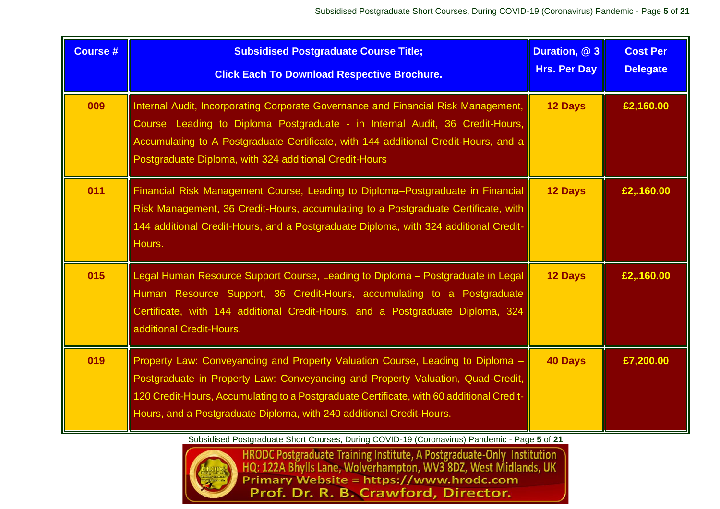| <b>Course #</b> | <b>Subsidised Postgraduate Course Title;</b><br><b>Click Each To Download Respective Brochure.</b>                                                                                                                                                                                                                                  | Duration, @ 3<br><b>Hrs. Per Day</b> | <b>Cost Per</b><br><b>Delegate</b> |
|-----------------|-------------------------------------------------------------------------------------------------------------------------------------------------------------------------------------------------------------------------------------------------------------------------------------------------------------------------------------|--------------------------------------|------------------------------------|
| 009             | Internal Audit, Incorporating Corporate Governance and Financial Risk Management,<br>Course, Leading to Diploma Postgraduate - in Internal Audit, 36 Credit-Hours,<br>Accumulating to A Postgraduate Certificate, with 144 additional Credit-Hours, and a<br>Postgraduate Diploma, with 324 additional Credit-Hours                 | 12 Days                              | £2,160.00                          |
| 011             | Financial Risk Management Course, Leading to Diploma-Postgraduate in Financial<br>Risk Management, 36 Credit-Hours, accumulating to a Postgraduate Certificate, with<br>144 additional Credit-Hours, and a Postgraduate Diploma, with 324 additional Credit-<br>Hours.                                                              | <b>12 Days</b>                       | £2,.160.00                         |
| 015             | Legal Human Resource Support Course, Leading to Diploma - Postgraduate in Legal<br>Human Resource Support, 36 Credit-Hours, accumulating to a Postgraduate<br>Certificate, with 144 additional Credit-Hours, and a Postgraduate Diploma, 324<br>additional Credit-Hours.                                                            | <b>12 Days</b>                       | £2,.160.00                         |
| 019             | Property Law: Conveyancing and Property Valuation Course, Leading to Diploma<br>Postgraduate in Property Law: Conveyancing and Property Valuation, Quad-Credit,<br>120 Credit-Hours, Accumulating to a Postgraduate Certificate, with 60 additional Credit-<br>Hours, and a Postgraduate Diploma, with 240 additional Credit-Hours. | <b>40 Days</b>                       | £7,200.00                          |



Subsidised Postgraduate Short Courses, During COVID-19 (Coronavirus) Pandemic - Page 5 of 21<br>HRODC Postgraduate Training Institute, A Postgraduate-Only Institution<br>HQ: 122A Bhylls Lane, Wolverhampton, WV3 8DZ, West Midland Prof. Dr. R. B. Crawford, Director.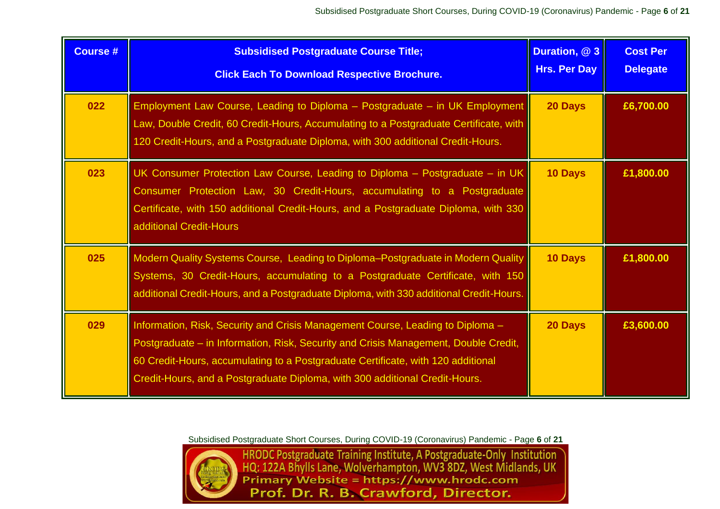| <b>Course #</b> | <b>Subsidised Postgraduate Course Title;</b><br><b>Click Each To Download Respective Brochure.</b>                                                                                                                                                                                                                                       | Duration, @ 3<br><b>Hrs. Per Day</b> | <b>Cost Per</b><br><b>Delegate</b> |
|-----------------|------------------------------------------------------------------------------------------------------------------------------------------------------------------------------------------------------------------------------------------------------------------------------------------------------------------------------------------|--------------------------------------|------------------------------------|
| 022             | Employment Law Course, Leading to Diploma - Postgraduate - in UK Employment<br>Law, Double Credit, 60 Credit-Hours, Accumulating to a Postgraduate Certificate, with<br>120 Credit-Hours, and a Postgraduate Diploma, with 300 additional Credit-Hours.                                                                                  | 20 Days                              | £6,700.00                          |
| 023             | UK Consumer Protection Law Course, Leading to Diploma - Postgraduate - in UK<br>Consumer Protection Law, 30 Credit-Hours, accumulating to a Postgraduate<br>Certificate, with 150 additional Credit-Hours, and a Postgraduate Diploma, with 330<br>additional Credit-Hours                                                               | 10 Days                              | £1,800.00                          |
| 025             | Modern Quality Systems Course, Leading to Diploma-Postgraduate in Modern Quality<br>Systems, 30 Credit-Hours, accumulating to a Postgraduate Certificate, with 150<br>additional Credit-Hours, and a Postgraduate Diploma, with 330 additional Credit-Hours.                                                                             | 10 Days                              | £1,800.00                          |
| 029             | Information, Risk, Security and Crisis Management Course, Leading to Diploma -<br>Postgraduate – in Information, Risk, Security and Crisis Management, Double Credit,<br>60 Credit-Hours, accumulating to a Postgraduate Certificate, with 120 additional<br>Credit-Hours, and a Postgraduate Diploma, with 300 additional Credit-Hours. | 20 Days                              | £3,600.00                          |



Subsidised Postgraduate Short Courses, During COVID-19 (Coronavirus) Pandemic - Page 6 of 21<br>HRODC Postgraduate Training Institute, A Postgraduate-Only Institution<br>HQ: 122A Bhylls Lane, Wolverhampton, WV3 8DZ, West Midland Prof. Dr. R. B. Crawford, Director.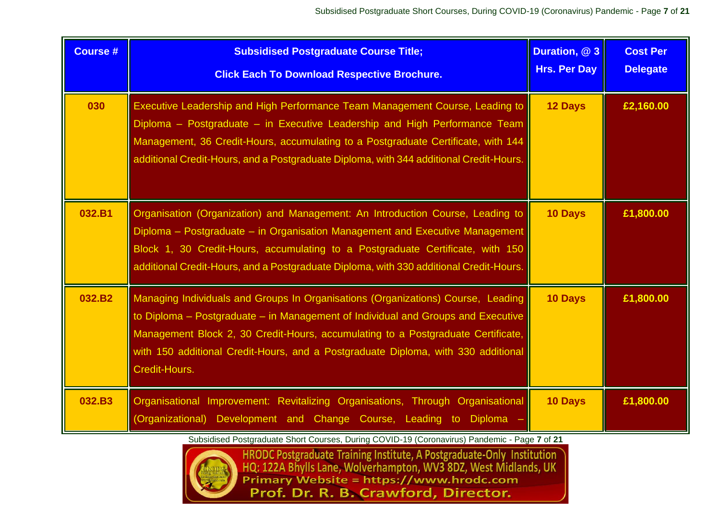| <b>Course #</b>    | <b>Subsidised Postgraduate Course Title;</b><br><b>Click Each To Download Respective Brochure.</b>                                                                                                                                                                                                                                                             | Duration, @ 3<br><b>Hrs. Per Day</b> | <b>Cost Per</b><br><b>Delegate</b> |
|--------------------|----------------------------------------------------------------------------------------------------------------------------------------------------------------------------------------------------------------------------------------------------------------------------------------------------------------------------------------------------------------|--------------------------------------|------------------------------------|
| 030                | Executive Leadership and High Performance Team Management Course, Leading to<br>Diploma - Postgraduate - in Executive Leadership and High Performance Team<br>Management, 36 Credit-Hours, accumulating to a Postgraduate Certificate, with 144<br>additional Credit-Hours, and a Postgraduate Diploma, with 344 additional Credit-Hours.                      | 12 Days                              | £2,160.00                          |
| 032.B1             | Organisation (Organization) and Management: An Introduction Course, Leading to<br>Diploma - Postgraduate - in Organisation Management and Executive Management<br>Block 1, 30 Credit-Hours, accumulating to a Postgraduate Certificate, with 150<br>additional Credit-Hours, and a Postgraduate Diploma, with 330 additional Credit-Hours.                     | 10 Days                              | £1,800.00                          |
| 032.B <sub>2</sub> | Managing Individuals and Groups In Organisations (Organizations) Course, Leading<br>to Diploma - Postgraduate - in Management of Individual and Groups and Executive<br>Management Block 2, 30 Credit-Hours, accumulating to a Postgraduate Certificate,<br>with 150 additional Credit-Hours, and a Postgraduate Diploma, with 330 additional<br>Credit-Hours. | 10 Days                              | £1,800.00                          |
| 032.B3             | Organisational Improvement: Revitalizing Organisations, Through Organisational<br>(Organizational) Development and Change Course, Leading to Diploma                                                                                                                                                                                                           | 10 Days                              | £1,800.00                          |



Subsidised Postgraduate Short Courses, During COVID-19 (Coronavirus) Pandemic - Page 7 of 21<br>HRODC Postgraduate Training Institute, A Postgraduate-Only Institution<br>HQ: 122A Bhylls Lane, Wolverhampton, WV3 8DZ, West Midland Prof. Dr. R. B. Crawford, Director.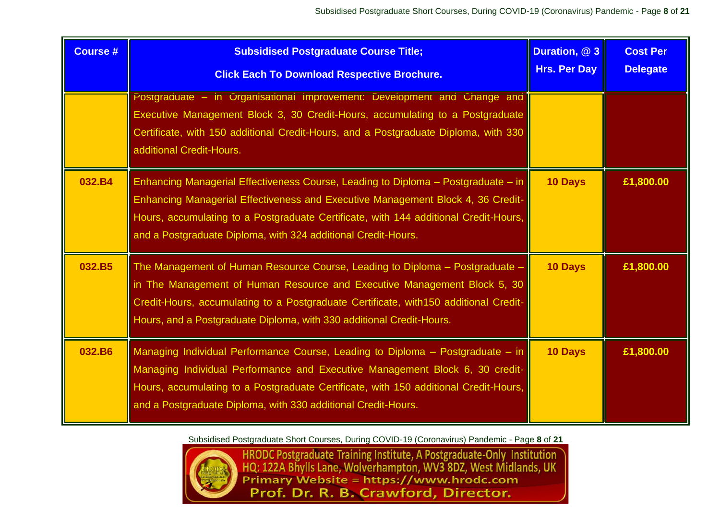| <b>Course #</b> | <b>Subsidised Postgraduate Course Title;</b><br><b>Click Each To Download Respective Brochure.</b>                                                                                                                                                                                                                                   | Duration, @ 3<br><b>Hrs. Per Day</b> | <b>Cost Per</b><br><b>Delegate</b> |
|-----------------|--------------------------------------------------------------------------------------------------------------------------------------------------------------------------------------------------------------------------------------------------------------------------------------------------------------------------------------|--------------------------------------|------------------------------------|
|                 | Postgraduate - in Organisational Improvement: Development and Change and<br>Executive Management Block 3, 30 Credit-Hours, accumulating to a Postgraduate<br>Certificate, with 150 additional Credit-Hours, and a Postgraduate Diploma, with 330<br>additional Credit-Hours.                                                         |                                      |                                    |
| 032.B4          | <b>Enhancing Managerial Effectiveness Course, Leading to Diploma - Postgraduate - in</b><br>Enhancing Managerial Effectiveness and Executive Management Block 4, 36 Credit-<br>Hours, accumulating to a Postgraduate Certificate, with 144 additional Credit-Hours,<br>and a Postgraduate Diploma, with 324 additional Credit-Hours. | <b>10 Days</b>                       | £1,800.00                          |
| 032.B5          | The Management of Human Resource Course, Leading to Diploma - Postgraduate -<br>in The Management of Human Resource and Executive Management Block 5, 30<br>Credit-Hours, accumulating to a Postgraduate Certificate, with 150 additional Credit-<br>Hours, and a Postgraduate Diploma, with 330 additional Credit-Hours.            | <b>10 Days</b>                       | £1,800.00                          |
| 032.B6          | Managing Individual Performance Course, Leading to Diploma - Postgraduate - in<br>Managing Individual Performance and Executive Management Block 6, 30 credit-<br>Hours, accumulating to a Postgraduate Certificate, with 150 additional Credit-Hours,<br>and a Postgraduate Diploma, with 330 additional Credit-Hours.              | 10 Days                              | £1,800.00                          |

Subsidised Postgraduate Short Courses, During COVID-19 (Coronavirus) Pandemic - Page **8** of **21**



HRODC Postgraduate Training Institute, A Postgraduate-Only Institution<br>HQ: 122A Bhylls Lane, Wolverhampton, WV3 8DZ, West Midlands, UK<br>Primary Website = https://www.hrodc.com Prof. Dr. R. B. Crawford, Director.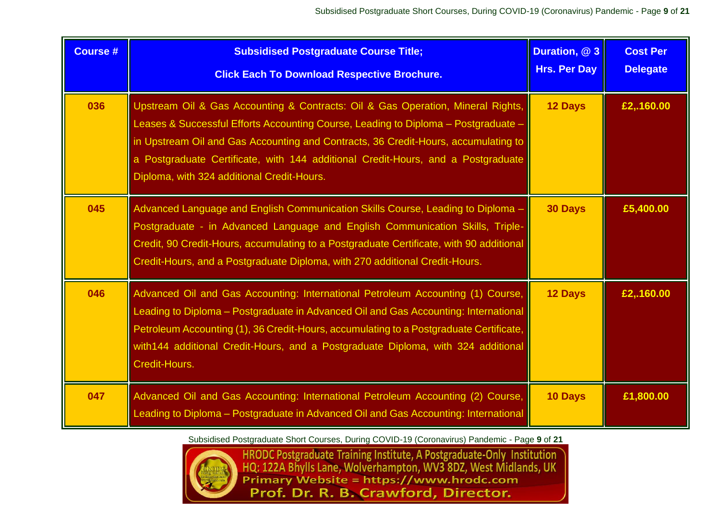| <b>Course #</b> | <b>Subsidised Postgraduate Course Title;</b><br><b>Click Each To Download Respective Brochure.</b>                                                                                                                                                                                                                                                                                            | Duration, @ 3<br><b>Hrs. Per Day</b> | <b>Cost Per</b><br><b>Delegate</b> |
|-----------------|-----------------------------------------------------------------------------------------------------------------------------------------------------------------------------------------------------------------------------------------------------------------------------------------------------------------------------------------------------------------------------------------------|--------------------------------------|------------------------------------|
| 036             | Upstream Oil & Gas Accounting & Contracts: Oil & Gas Operation, Mineral Rights,<br>Leases & Successful Efforts Accounting Course, Leading to Diploma - Postgraduate -<br>in Upstream Oil and Gas Accounting and Contracts, 36 Credit-Hours, accumulating to<br>a Postgraduate Certificate, with 144 additional Credit-Hours, and a Postgraduate<br>Diploma, with 324 additional Credit-Hours. | <b>12 Days</b>                       | £2,.160.00                         |
| 045             | Advanced Language and English Communication Skills Course, Leading to Diploma -<br>Postgraduate - in Advanced Language and English Communication Skills, Triple-<br>Credit, 90 Credit-Hours, accumulating to a Postgraduate Certificate, with 90 additional<br>Credit-Hours, and a Postgraduate Diploma, with 270 additional Credit-Hours.                                                    | <b>30 Days</b>                       | £5,400.00                          |
| 046             | Advanced Oil and Gas Accounting: International Petroleum Accounting (1) Course,<br>Leading to Diploma - Postgraduate in Advanced Oil and Gas Accounting: International<br>Petroleum Accounting (1), 36 Credit-Hours, accumulating to a Postgraduate Certificate,<br>with 144 additional Credit-Hours, and a Postgraduate Diploma, with 324 additional<br>Credit-Hours.                        | <b>12 Days</b>                       | £2,.160.00                         |
| 047             | Advanced Oil and Gas Accounting: International Petroleum Accounting (2) Course,<br>Leading to Diploma – Postgraduate in Advanced Oil and Gas Accounting: International                                                                                                                                                                                                                        | 10 Days                              | £1,800.00                          |



Subsidised Postgraduate Short Courses, During COVID-19 (Coronavirus) Pandemic - Page 9 of 21<br>HRODC Postgraduate Training Institute, A Postgraduate-Only Institution<br>HQ: 122A Bhylls Lane, Wolverhampton, WV3 8DZ, West Midland Prof. Dr. R. B. Crawford, Director.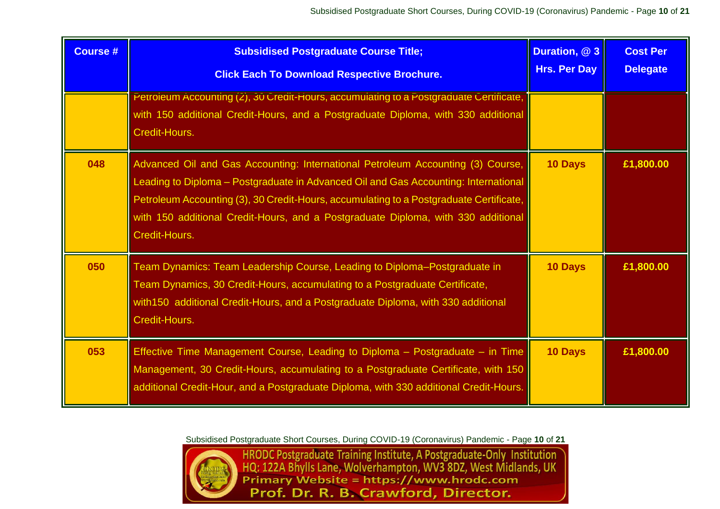| <b>Course #</b> | <b>Subsidised Postgraduate Course Title;</b><br><b>Click Each To Download Respective Brochure.</b>                                                                                                                                                                                                                                                                     | Duration, @ 3<br><b>Hrs. Per Day</b> | <b>Cost Per</b><br><b>Delegate</b> |
|-----------------|------------------------------------------------------------------------------------------------------------------------------------------------------------------------------------------------------------------------------------------------------------------------------------------------------------------------------------------------------------------------|--------------------------------------|------------------------------------|
|                 | Petroleum Accounting (2), 30 Credit-Hours, accumulating to a Postgraduate Certificate,<br>with 150 additional Credit-Hours, and a Postgraduate Diploma, with 330 additional<br>Credit-Hours.                                                                                                                                                                           |                                      |                                    |
| 048             | Advanced Oil and Gas Accounting: International Petroleum Accounting (3) Course,<br>Leading to Diploma - Postgraduate in Advanced Oil and Gas Accounting: International<br>Petroleum Accounting (3), 30 Credit-Hours, accumulating to a Postgraduate Certificate,<br>with 150 additional Credit-Hours, and a Postgraduate Diploma, with 330 additional<br>Credit-Hours. | 10 Days                              | £1,800.00                          |
| 050             | Team Dynamics: Team Leadership Course, Leading to Diploma-Postgraduate in<br>Team Dynamics, 30 Credit-Hours, accumulating to a Postgraduate Certificate,<br>with 150 additional Credit-Hours, and a Postgraduate Diploma, with 330 additional<br>Credit-Hours.                                                                                                         | 10 Days                              | £1,800.00                          |
| 053             | Effective Time Management Course, Leading to Diploma - Postgraduate - in Time<br>Management, 30 Credit-Hours, accumulating to a Postgraduate Certificate, with 150<br>additional Credit-Hour, and a Postgraduate Diploma, with 330 additional Credit-Hours.                                                                                                            | 10 Days                              | £1,800.00                          |



Subsidised Postgraduate Short Courses, During COVID-19 (Coronavirus) Pandemic - Page 10 of 21<br>
HRODC Postgraduate Training Institute, A Postgraduate-Only Institution<br>
HQ: 122A Bhylls Lane, Wolverhampton, WV3 8DZ, West Midl Prof. Dr. R. B. Crawford, Director.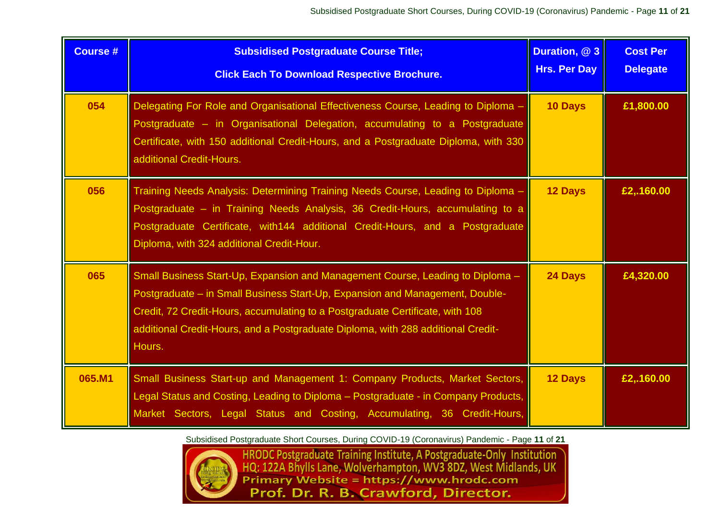| <b>Course #</b> | <b>Subsidised Postgraduate Course Title;</b><br><b>Click Each To Download Respective Brochure.</b>                                                                                                                                                                                                                                            | Duration, @ 3<br><b>Hrs. Per Day</b> | <b>Cost Per</b><br><b>Delegate</b> |
|-----------------|-----------------------------------------------------------------------------------------------------------------------------------------------------------------------------------------------------------------------------------------------------------------------------------------------------------------------------------------------|--------------------------------------|------------------------------------|
| 054             | Delegating For Role and Organisational Effectiveness Course, Leading to Diploma -<br>Postgraduate - in Organisational Delegation, accumulating to a Postgraduate<br>Certificate, with 150 additional Credit-Hours, and a Postgraduate Diploma, with 330<br>additional Credit-Hours.                                                           | <b>10 Days</b>                       | £1,800.00                          |
| 056             | Training Needs Analysis: Determining Training Needs Course, Leading to Diploma -<br>Postgraduate – in Training Needs Analysis, 36 Credit-Hours, accumulating to a<br>Postgraduate Certificate, with 144 additional Credit-Hours, and a Postgraduate<br>Diploma, with 324 additional Credit-Hour.                                              | <b>12 Days</b>                       | £2,.160.00                         |
| 065             | Small Business Start-Up, Expansion and Management Course, Leading to Diploma -<br>Postgraduate – in Small Business Start-Up, Expansion and Management, Double-<br>Credit, 72 Credit-Hours, accumulating to a Postgraduate Certificate, with 108<br>additional Credit-Hours, and a Postgraduate Diploma, with 288 additional Credit-<br>Hours. | 24 Days                              | £4,320.00                          |
| 065.M1          | Small Business Start-up and Management 1: Company Products, Market Sectors,<br>Legal Status and Costing, Leading to Diploma - Postgraduate - in Company Products,<br>Market Sectors, Legal Status and Costing, Accumulating, 36 Credit-Hours,                                                                                                 | 12 Days                              | £2,.160.00                         |

Subsidised Postgraduate Short Courses, During COVID-19 (Coronavirus) Pandemic - Page **11** of **21**



HRODC Postgraduate Training Institute, A Postgraduate-Only Institution<br>HQ: 122A Bhylls Lane, Wolverhampton, WV3 8DZ, West Midlands, UK<br>Primary Website = https://www.hrodc.com Prof. Dr. R. B. Crawford, Director.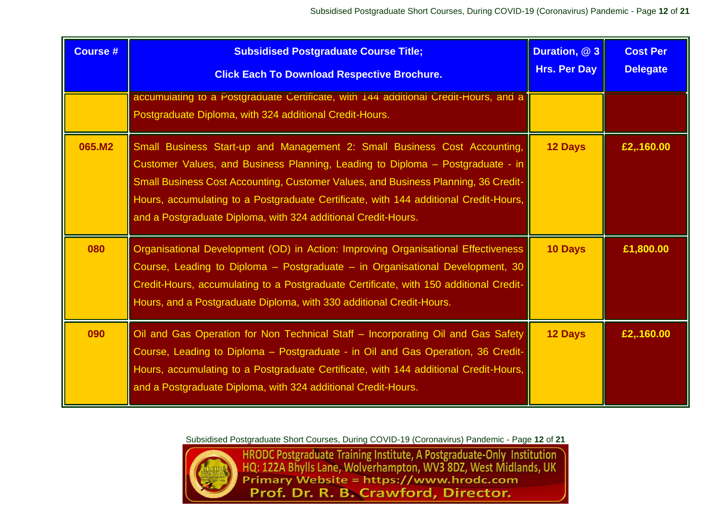| <b>Course #</b> | <b>Subsidised Postgraduate Course Title;</b><br><b>Click Each To Download Respective Brochure.</b>                                                                                                                                                                                                                                                                                                         | Duration, @ 3<br><b>Hrs. Per Day</b> | <b>Cost Per</b><br><b>Delegate</b> |
|-----------------|------------------------------------------------------------------------------------------------------------------------------------------------------------------------------------------------------------------------------------------------------------------------------------------------------------------------------------------------------------------------------------------------------------|--------------------------------------|------------------------------------|
|                 | accumulating to a Postgraduate Certificate, with 144 additional Credit-Hours, and a<br>Postgraduate Diploma, with 324 additional Credit-Hours.                                                                                                                                                                                                                                                             |                                      |                                    |
| 065.M2          | Small Business Start-up and Management 2: Small Business Cost Accounting,<br>Customer Values, and Business Planning, Leading to Diploma - Postgraduate - in<br>Small Business Cost Accounting, Customer Values, and Business Planning, 36 Credit-<br>Hours, accumulating to a Postgraduate Certificate, with 144 additional Credit-Hours,<br>and a Postgraduate Diploma, with 324 additional Credit-Hours. | <b>12 Days</b>                       | E2, 160.00                         |
| 080             | Organisational Development (OD) in Action: Improving Organisational Effectiveness<br>Course, Leading to Diploma - Postgraduate - in Organisational Development, 30<br>Credit-Hours, accumulating to a Postgraduate Certificate, with 150 additional Credit-<br>Hours, and a Postgraduate Diploma, with 330 additional Credit-Hours.                                                                        | 10 Days                              | £1,800.00                          |
| 090             | Oil and Gas Operation for Non Technical Staff - Incorporating Oil and Gas Safety<br>Course, Leading to Diploma - Postgraduate - in Oil and Gas Operation, 36 Credit-<br>Hours, accumulating to a Postgraduate Certificate, with 144 additional Credit-Hours,<br>and a Postgraduate Diploma, with 324 additional Credit-Hours.                                                                              | <b>12 Days</b>                       | £2,.160.00                         |



Subsidised Postgraduate Short Courses, During COVID-19 (Coronavirus) Pandemic - Page 12 of 21<br>
HRODC Postgraduate Training Institute, A Postgraduate-Only Institution<br>
HQ: 122A Bhylls Lane, Wolverhampton, WV3 8DZ, West Midl Prof. Dr. R. B. Crawford, Director.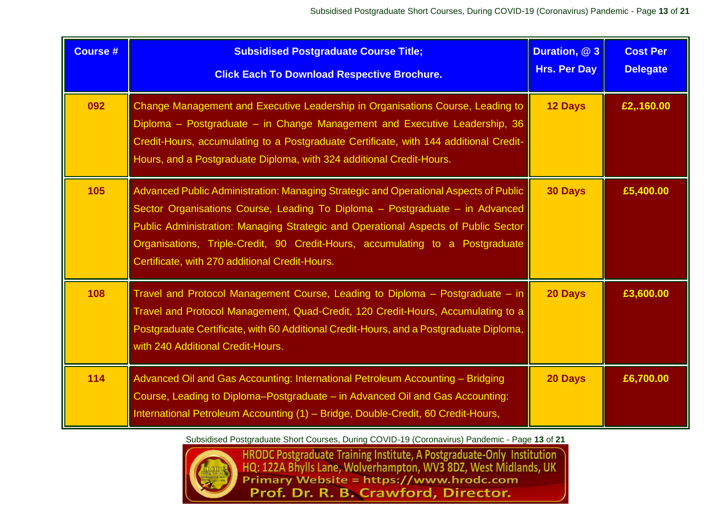| <b>Course #</b> | <b>Subsidised Postgraduate Course Title;</b><br><b>Click Each To Download Respective Brochure.</b>                                                                                                                                                                                                                                                                                            | Duration, @ 3<br><b>Hrs. Per Day</b> | <b>Cost Per</b><br><b>Delegate</b> |
|-----------------|-----------------------------------------------------------------------------------------------------------------------------------------------------------------------------------------------------------------------------------------------------------------------------------------------------------------------------------------------------------------------------------------------|--------------------------------------|------------------------------------|
| 092             | Change Management and Executive Leadership in Organisations Course, Leading to<br>Diploma - Postgraduate - in Change Management and Executive Leadership, 36<br>Credit-Hours, accumulating to a Postgraduate Certificate, with 144 additional Credit-<br>Hours, and a Postgraduate Diploma, with 324 additional Credit-Hours.                                                                 | <b>12 Days</b>                       | £2,.160.00                         |
| 105             | Advanced Public Administration: Managing Strategic and Operational Aspects of Public<br>Sector Organisations Course, Leading To Diploma - Postgraduate - in Advanced<br>Public Administration: Managing Strategic and Operational Aspects of Public Sector<br>Organisations, Triple-Credit, 90 Credit-Hours, accumulating to a Postgraduate<br>Certificate, with 270 additional Credit-Hours. | 30 Days                              | £5,400.00                          |
| 108             | Travel and Protocol Management Course, Leading to Diploma - Postgraduate - in<br>Travel and Protocol Management, Quad-Credit, 120 Credit-Hours, Accumulating to a<br>Postgraduate Certificate, with 60 Additional Credit-Hours, and a Postgraduate Diploma,<br>with 240 Additional Credit-Hours.                                                                                              | 20 Days                              | £3,600.00                          |
| 114             | Advanced Oil and Gas Accounting: International Petroleum Accounting - Bridging<br>Course, Leading to Diploma-Postgraduate - in Advanced Oil and Gas Accounting:<br>International Petroleum Accounting (1) - Bridge, Double-Credit, 60 Credit-Hours,                                                                                                                                           | 20 Days                              | £6,700.00                          |



Subsidised Postgraduate Short Courses, During COVID-19 (Coronavirus) Pandemic - Page 13 of 21<br>
HRODC Postgraduate Training Institute, A Postgraduate-Only Institution<br>
HQ: 122A Bhylls Lane, Wolverhampton, WV3 8DZ, West Midl Prof. Dr. R. B. Crawford, Director.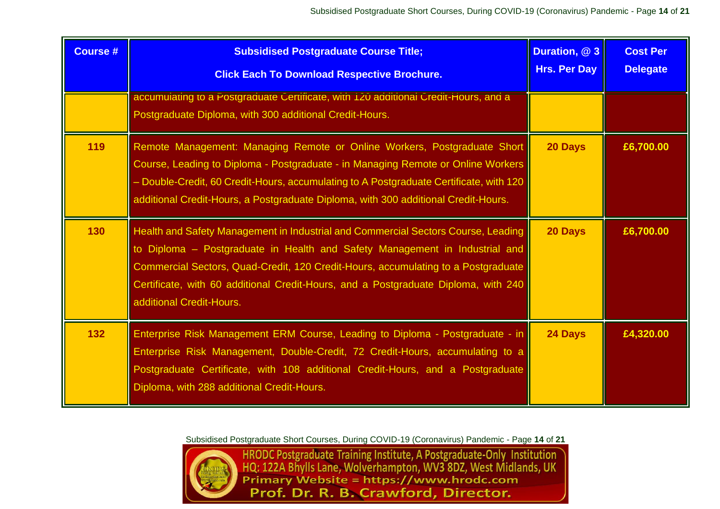| <b>Course #</b> | <b>Subsidised Postgraduate Course Title;</b><br><b>Click Each To Download Respective Brochure.</b>                                                                                                                                                                                                                                                                      | Duration, @ 3<br><b>Hrs. Per Day</b> | <b>Cost Per</b><br><b>Delegate</b> |
|-----------------|-------------------------------------------------------------------------------------------------------------------------------------------------------------------------------------------------------------------------------------------------------------------------------------------------------------------------------------------------------------------------|--------------------------------------|------------------------------------|
|                 | accumulating to a Postgraduate Certificate, with 120 additional Credit-Hours, and a<br>Postgraduate Diploma, with 300 additional Credit-Hours.                                                                                                                                                                                                                          |                                      |                                    |
| 119             | Remote Management: Managing Remote or Online Workers, Postgraduate Short<br>Course, Leading to Diploma - Postgraduate - in Managing Remote or Online Workers<br>- Double-Credit, 60 Credit-Hours, accumulating to A Postgraduate Certificate, with 120<br>additional Credit-Hours, a Postgraduate Diploma, with 300 additional Credit-Hours.                            | 20 Days                              | £6,700.00                          |
| 130             | Health and Safety Management in Industrial and Commercial Sectors Course, Leading<br>to Diploma - Postgraduate in Health and Safety Management in Industrial and<br>Commercial Sectors, Quad-Credit, 120 Credit-Hours, accumulating to a Postgraduate<br>Certificate, with 60 additional Credit-Hours, and a Postgraduate Diploma, with 240<br>additional Credit-Hours. | 20 Days                              | £6,700.00                          |
| 132             | Enterprise Risk Management ERM Course, Leading to Diploma - Postgraduate - in<br>Enterprise Risk Management, Double-Credit, 72 Credit-Hours, accumulating to a<br>Postgraduate Certificate, with 108 additional Credit-Hours, and a Postgraduate<br>Diploma, with 288 additional Credit-Hours.                                                                          | 24 Days                              | £4,320.00                          |



Subsidised Postgraduate Short Courses, During COVID-19 (Coronavirus) Pandemic - Page 14 of 21<br>HRODC Postgraduate Training Institute, A Postgraduate-Only Institution<br>HQ: 122A Bhylls Lane, Wolverhampton, WV3 8DZ, West Midlan Prof. Dr. R. B. Crawford, Director.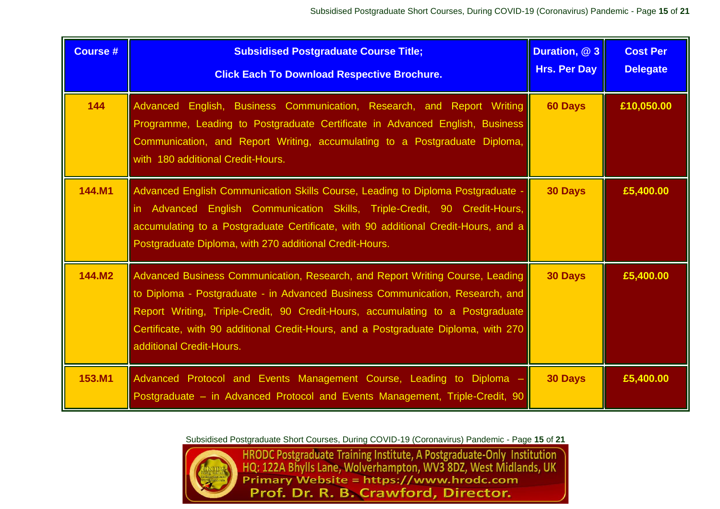| <b>Course #</b> | <b>Subsidised Postgraduate Course Title;</b><br><b>Click Each To Download Respective Brochure.</b>                                                                                                                                                                                                                                                                 | Duration, @ 3<br><b>Hrs. Per Day</b> | <b>Cost Per</b><br><b>Delegate</b> |
|-----------------|--------------------------------------------------------------------------------------------------------------------------------------------------------------------------------------------------------------------------------------------------------------------------------------------------------------------------------------------------------------------|--------------------------------------|------------------------------------|
| 144             | Advanced English, Business Communication, Research, and Report Writing<br>Programme, Leading to Postgraduate Certificate in Advanced English, Business<br>Communication, and Report Writing, accumulating to a Postgraduate Diploma,<br>with 180 additional Credit-Hours.                                                                                          | 60 Days                              | £10,050.00                         |
| <b>144.M1</b>   | Advanced English Communication Skills Course, Leading to Diploma Postgraduate -<br>in Advanced English Communication Skills, Triple-Credit, 90 Credit-Hours,<br>accumulating to a Postgraduate Certificate, with 90 additional Credit-Hours, and a<br>Postgraduate Diploma, with 270 additional Credit-Hours.                                                      | <b>30 Days</b>                       | £5,400.00                          |
| 144.M2          | Advanced Business Communication, Research, and Report Writing Course, Leading<br>to Diploma - Postgraduate - in Advanced Business Communication, Research, and<br>Report Writing, Triple-Credit, 90 Credit-Hours, accumulating to a Postgraduate<br>Certificate, with 90 additional Credit-Hours, and a Postgraduate Diploma, with 270<br>additional Credit-Hours. | <b>30 Days</b>                       | £5,400.00                          |
| 153.M1          | Advanced Protocol and Events Management Course, Leading to Diploma<br>Postgraduate - in Advanced Protocol and Events Management, Triple-Credit, 90                                                                                                                                                                                                                 | <b>30 Days</b>                       | £5,400.00                          |

Subsidised Postgraduate Short Courses, During COVID-19 (Coronavirus) Pandemic - Page **15** of **21**



HRODC Postgraduate Training Institute, A Postgraduate-Only Institution<br>HQ: 122A Bhylls Lane, Wolverhampton, WV3 8DZ, West Midlands, UK<br>Primary Website = https://www.hrodc.com Prof. Dr. R. B. Crawford, Director.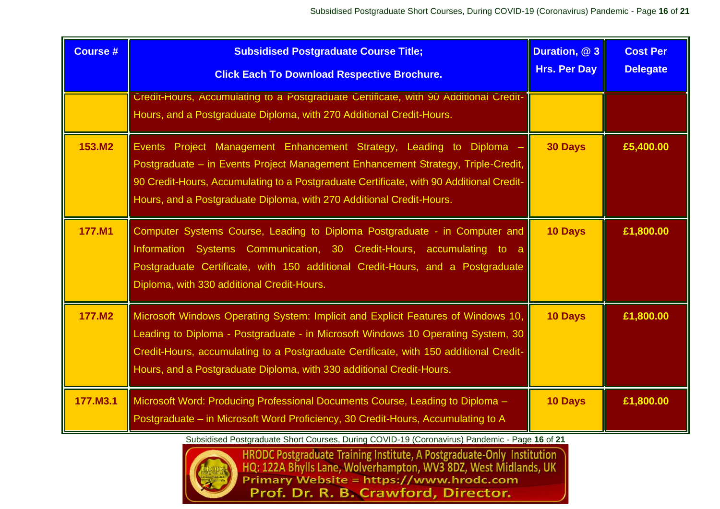| <b>Course #</b> | <b>Subsidised Postgraduate Course Title;</b><br><b>Click Each To Download Respective Brochure.</b>                                                                                                                                                                                                                                     | Duration, @ 3<br><b>Hrs. Per Day</b> | <b>Cost Per</b><br><b>Delegate</b> |
|-----------------|----------------------------------------------------------------------------------------------------------------------------------------------------------------------------------------------------------------------------------------------------------------------------------------------------------------------------------------|--------------------------------------|------------------------------------|
|                 | Credit-Hours, Accumulating to a Postgraduate Certificate, with 90 Additional Credit-<br>Hours, and a Postgraduate Diploma, with 270 Additional Credit-Hours.                                                                                                                                                                           |                                      |                                    |
| 153.M2          | Events Project Management Enhancement Strategy, Leading to Diploma<br>Postgraduate - in Events Project Management Enhancement Strategy, Triple-Credit,<br>90 Credit-Hours, Accumulating to a Postgraduate Certificate, with 90 Additional Credit-<br>Hours, and a Postgraduate Diploma, with 270 Additional Credit-Hours.              | <b>30 Days</b>                       | £5,400.00                          |
| 177.M1          | Computer Systems Course, Leading to Diploma Postgraduate - in Computer and<br>Information Systems Communication, 30 Credit-Hours, accumulating to a<br>Postgraduate Certificate, with 150 additional Credit-Hours, and a Postgraduate<br>Diploma, with 330 additional Credit-Hours.                                                    | 10 Days                              | £1,800.00                          |
| 177.M2          | Microsoft Windows Operating System: Implicit and Explicit Features of Windows 10,<br>Leading to Diploma - Postgraduate - in Microsoft Windows 10 Operating System, 30<br>Credit-Hours, accumulating to a Postgraduate Certificate, with 150 additional Credit-<br>Hours, and a Postgraduate Diploma, with 330 additional Credit-Hours. | <b>10 Days</b>                       | £1,800.00                          |
| 177.M3.1        | Microsoft Word: Producing Professional Documents Course, Leading to Diploma -<br>Postgraduate – in Microsoft Word Proficiency, 30 Credit-Hours, Accumulating to A                                                                                                                                                                      | 10 Days                              | £1,800.00                          |



Subsidised Postgraduate Short Courses, During COVID-19 (Coronavirus) Pandemic - Page 16 of 21<br>
HRODC Postgraduate Training Institute, A Postgraduate-Only Institution<br>
HQ: 122A Bhylls Lane, Wolverhampton, WV3 8DZ, West Midl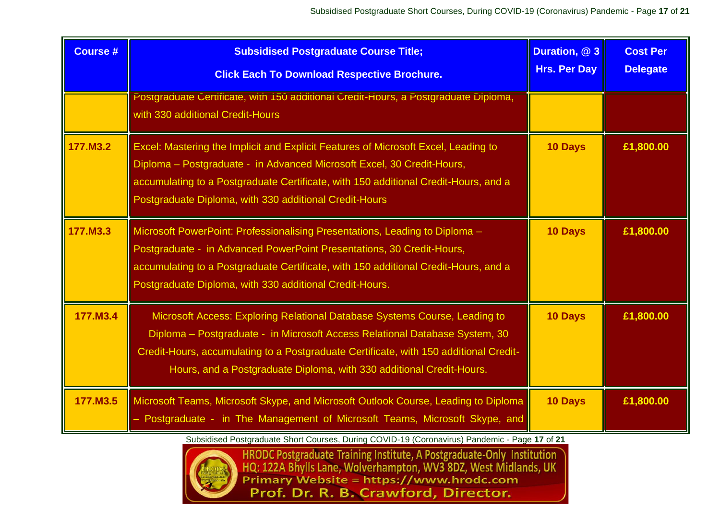| <b>Course #</b> | <b>Subsidised Postgraduate Course Title;</b><br><b>Click Each To Download Respective Brochure.</b>                                                                                                                                                                                                                         | Duration, @ 3<br><b>Hrs. Per Day</b> | <b>Cost Per</b><br><b>Delegate</b> |
|-----------------|----------------------------------------------------------------------------------------------------------------------------------------------------------------------------------------------------------------------------------------------------------------------------------------------------------------------------|--------------------------------------|------------------------------------|
|                 | Postgraduate Certificate, with 150 additional Credit-Hours, a Postgraduate Diploma,<br>with 330 additional Credit-Hours                                                                                                                                                                                                    |                                      |                                    |
| 177.M3.2        | Excel: Mastering the Implicit and Explicit Features of Microsoft Excel, Leading to<br>Diploma - Postgraduate - in Advanced Microsoft Excel, 30 Credit-Hours,<br>accumulating to a Postgraduate Certificate, with 150 additional Credit-Hours, and a<br>Postgraduate Diploma, with 330 additional Credit-Hours              | <b>10 Days</b>                       | £1,800.00                          |
| 177.M3.3        | Microsoft PowerPoint: Professionalising Presentations, Leading to Diploma -<br>Postgraduate - in Advanced PowerPoint Presentations, 30 Credit-Hours,<br>accumulating to a Postgraduate Certificate, with 150 additional Credit-Hours, and a<br>Postgraduate Diploma, with 330 additional Credit-Hours.                     | <b>10 Days</b>                       | £1,800.00                          |
| 177.M3.4        | Microsoft Access: Exploring Relational Database Systems Course, Leading to<br>Diploma – Postgraduate - in Microsoft Access Relational Database System, 30<br>Credit-Hours, accumulating to a Postgraduate Certificate, with 150 additional Credit-<br>Hours, and a Postgraduate Diploma, with 330 additional Credit-Hours. | <b>10 Days</b>                       | £1,800.00                          |
| 177.M3.5        | Microsoft Teams, Microsoft Skype, and Microsoft Outlook Course, Leading to Diploma<br>- Postgraduate - in The Management of Microsoft Teams, Microsoft Skype, and                                                                                                                                                          | <b>10 Days</b>                       | £1,800.00                          |



Subsidised Postgraduate Short Courses, During COVID-19 (Coronavirus) Pandemic - Page 17 of 21<br>
HRODC Postgraduate Training Institute, A Postgraduate-Only Institution<br>
HQ: 122A Bhylls Lane, Wolverhampton, WV3 8DZ, West Midl Prof. Dr. R. B. Crawford, Director.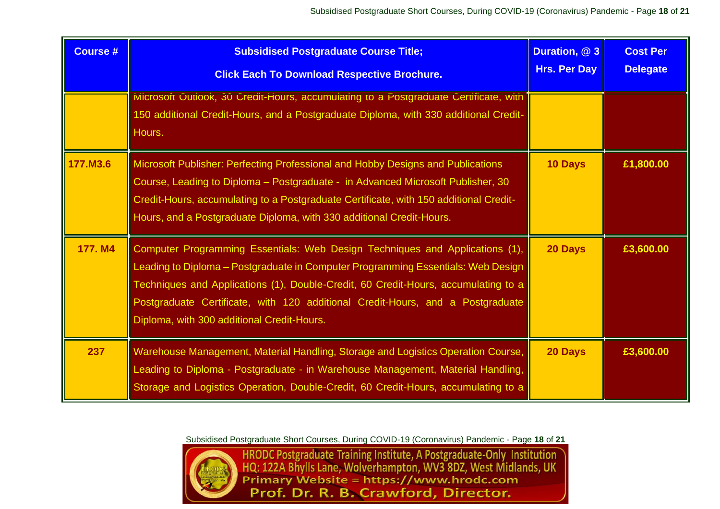| <b>Course #</b> | <b>Subsidised Postgraduate Course Title;</b><br><b>Click Each To Download Respective Brochure.</b>                                                                                                                                                                                                                                                                                     | Duration, @ 3<br><b>Hrs. Per Day</b> | <b>Cost Per</b><br><b>Delegate</b> |
|-----------------|----------------------------------------------------------------------------------------------------------------------------------------------------------------------------------------------------------------------------------------------------------------------------------------------------------------------------------------------------------------------------------------|--------------------------------------|------------------------------------|
|                 | Microsoft Outlook, 30 Credit-Hours, accumulating to a Postgraduate Certificate, with<br>150 additional Credit-Hours, and a Postgraduate Diploma, with 330 additional Credit-<br>Hours.                                                                                                                                                                                                 |                                      |                                    |
| 177.M3.6        | Microsoft Publisher: Perfecting Professional and Hobby Designs and Publications<br>Course, Leading to Diploma - Postgraduate - in Advanced Microsoft Publisher, 30<br>Credit-Hours, accumulating to a Postgraduate Certificate, with 150 additional Credit-<br>Hours, and a Postgraduate Diploma, with 330 additional Credit-Hours.                                                    | 10 Days                              | £1,800.00                          |
| 177. M4         | Computer Programming Essentials: Web Design Techniques and Applications (1),<br>Leading to Diploma - Postgraduate in Computer Programming Essentials: Web Design<br>Techniques and Applications (1), Double-Credit, 60 Credit-Hours, accumulating to a<br>Postgraduate Certificate, with 120 additional Credit-Hours, and a Postgraduate<br>Diploma, with 300 additional Credit-Hours. | 20 Days                              | £3,600.00                          |
| 237             | Warehouse Management, Material Handling, Storage and Logistics Operation Course,<br>Leading to Diploma - Postgraduate - in Warehouse Management, Material Handling,<br>Storage and Logistics Operation, Double-Credit, 60 Credit-Hours, accumulating to a                                                                                                                              | 20 Days                              | £3,600.00                          |



Subsidised Postgraduate Short Courses, During COVID-19 (Coronavirus) Pandemic - Page 18 of 21<br>HRODC Postgraduate Training Institute, A Postgraduate-Only Institution<br>HQ: 122A Bhylls Lane, Wolverhampton, WV3 8DZ, West Midlan Prof. Dr. R. B. Crawford, Director.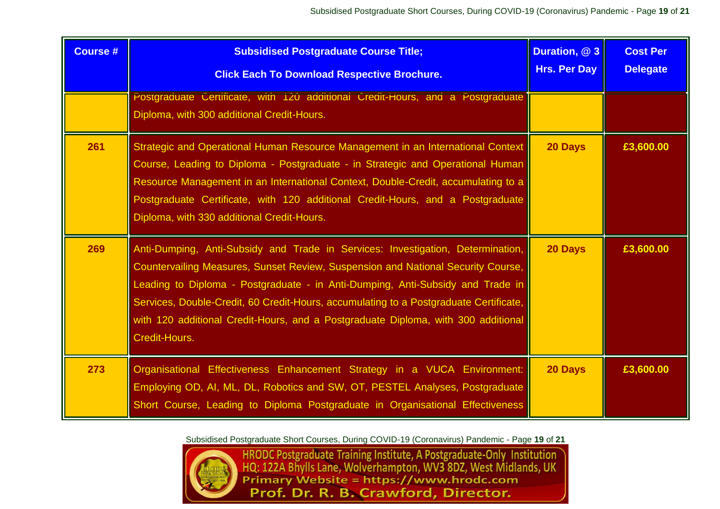| <b>Course #</b> | <b>Subsidised Postgraduate Course Title;</b><br><b>Click Each To Download Respective Brochure.</b>                                                                                                                                                                                                                                                                                                                                                   | Duration, @ 3<br><b>Hrs. Per Day</b> | <b>Cost Per</b><br><b>Delegate</b> |
|-----------------|------------------------------------------------------------------------------------------------------------------------------------------------------------------------------------------------------------------------------------------------------------------------------------------------------------------------------------------------------------------------------------------------------------------------------------------------------|--------------------------------------|------------------------------------|
|                 | Postgraduate Certificate, with 120 additional Credit-Hours, and a Postgraduate<br>Diploma, with 300 additional Credit-Hours.                                                                                                                                                                                                                                                                                                                         |                                      |                                    |
| 261             | Strategic and Operational Human Resource Management in an International Context<br>Course, Leading to Diploma - Postgraduate - in Strategic and Operational Human<br>Resource Management in an International Context, Double-Credit, accumulating to a<br>Postgraduate Certificate, with 120 additional Credit-Hours, and a Postgraduate<br>Diploma, with 330 additional Credit-Hours.                                                               | 20 Days                              | £3,600.00                          |
| 269             | Anti-Dumping, Anti-Subsidy and Trade in Services: Investigation, Determination,<br>Countervailing Measures, Sunset Review, Suspension and National Security Course,<br>Leading to Diploma - Postgraduate - in Anti-Dumping, Anti-Subsidy and Trade in<br>Services, Double-Credit, 60 Credit-Hours, accumulating to a Postgraduate Certificate,<br>with 120 additional Credit-Hours, and a Postgraduate Diploma, with 300 additional<br>Credit-Hours. | 20 Days                              | £3,600.00                          |
| 273             | Organisational Effectiveness Enhancement Strategy in a VUCA Environment:<br>Employing OD, AI, ML, DL, Robotics and SW, OT, PESTEL Analyses, Postgraduate<br>Short Course, Leading to Diploma Postgraduate in Organisational Effectiveness                                                                                                                                                                                                            | 20 Days                              | £3,600.00                          |

Subsidised Postgraduate Short Courses, During COVID-19 (Coronavirus) Pandemic - Page **19** of **21**



HRODC Postgraduate Training Institute, A Postgraduate-Only Institution<br>HQ: 122A Bhylls Lane, Wolverhampton, WV3 8DZ, West Midlands, UK<br>Primary Website = https://www.hrodc.com Prof. Dr. R. B. Crawford, Director.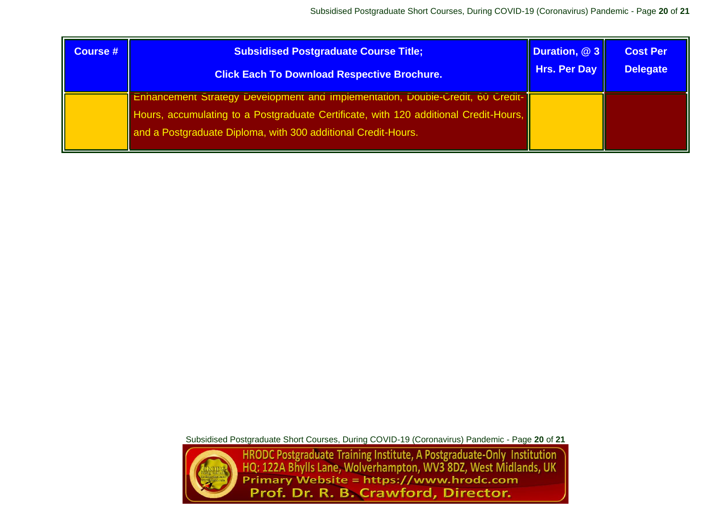| <b>Course #</b> | <b>Subsidised Postgraduate Course Title;</b>                                                                                                                                                                                                   | Duration, @ 3       | <b>Cost Per</b> |
|-----------------|------------------------------------------------------------------------------------------------------------------------------------------------------------------------------------------------------------------------------------------------|---------------------|-----------------|
|                 | <b>Click Each To Download Respective Brochure.</b>                                                                                                                                                                                             | <b>Hrs. Per Day</b> | <b>Delegate</b> |
|                 | <b>Enhancement Strategy Development and Implementation, Double-Credit, 60 Credit-</b><br>Hours, accumulating to a Postgraduate Certificate, with 120 additional Credit-Hours,<br>and a Postgraduate Diploma, with 300 additional Credit-Hours. |                     |                 |



Subsidised Postgraduate Short Courses, During COVID-19 (Coronavirus) Pandemic - Page 20 of 21<br>
HRODC Postgraduate Training Institute, A Postgraduate-Only Institution<br>
HQ: 122A Bhylls Lane, Wolverhampton, WV3 8DZ, West Midl